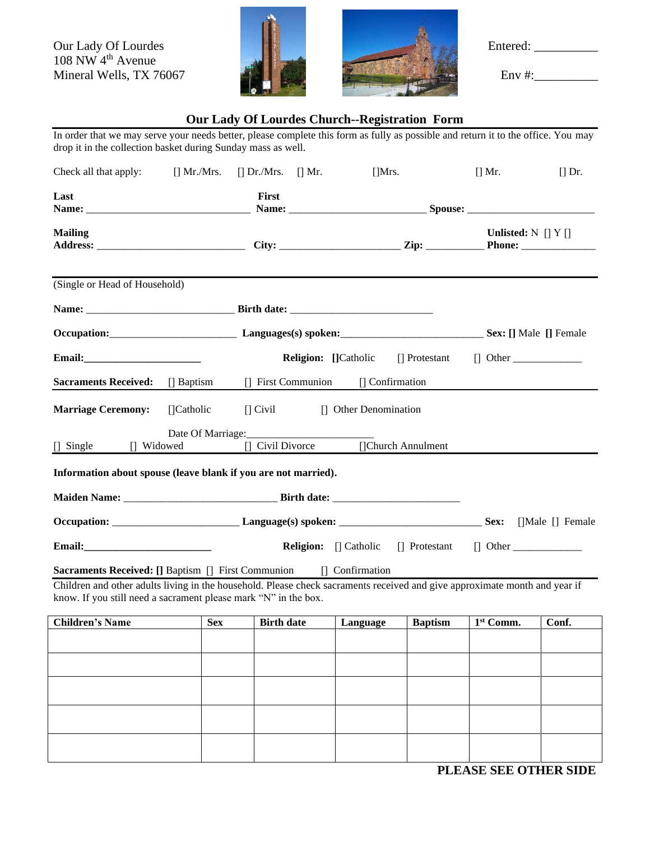Our Lady Of Lourdes **Entered:** Entered: 108 NW 4<sup>th</sup> Avenue Mineral Wells, TX 76067  $\blacksquare$  Env #: Env #:





## **Our Lady Of Lourdes Church--Registration Form**

In order that we may serve your needs better, please complete this form as fully as possible and return it to the office. You may drop it in the collection basket during Sunday mass as well.

| Check all that apply:                                                                                                                                                                                                                                      |                   | $\left[\right]$ Mr./Mrs. $\left[\right]$ Dr./Mrs. $\left[\right]$ Mr. |  | $[$ Mrs.                       |                    | [] Mr.                                              | $\prod$ Dr. |
|------------------------------------------------------------------------------------------------------------------------------------------------------------------------------------------------------------------------------------------------------------|-------------------|-----------------------------------------------------------------------|--|--------------------------------|--------------------|-----------------------------------------------------|-------------|
| Last                                                                                                                                                                                                                                                       |                   | First                                                                 |  |                                |                    |                                                     |             |
| <b>Mailing</b>                                                                                                                                                                                                                                             |                   |                                                                       |  |                                |                    | Unlisted: $N \mid Y \mid$                           |             |
| (Single or Head of Household)                                                                                                                                                                                                                              |                   |                                                                       |  |                                |                    |                                                     |             |
|                                                                                                                                                                                                                                                            |                   |                                                                       |  |                                |                    |                                                     |             |
|                                                                                                                                                                                                                                                            |                   | Occupation: Sex: [] Male [] Female                                    |  |                                |                    |                                                     |             |
|                                                                                                                                                                                                                                                            |                   |                                                                       |  |                                |                    | <b>Religion:</b> [Catholic   Protestant   Other     |             |
| <b>Sacraments Received:</b>                                                                                                                                                                                                                                | $\Box$ Baptism    | [] First Communion                                                    |  | $\Box$ Confirmation            |                    |                                                     |             |
| <b>Marriage Ceremony:</b>                                                                                                                                                                                                                                  | [Catholic]        |                                                                       |  | [] Civil [] Other Denomination |                    |                                                     |             |
| $\Box$ Single<br>[] Widowed                                                                                                                                                                                                                                | Date Of Marriage: | [] Civil Divorce                                                      |  |                                | []Church Annulment |                                                     |             |
| Information about spouse (leave blank if you are not married).                                                                                                                                                                                             |                   |                                                                       |  |                                |                    |                                                     |             |
|                                                                                                                                                                                                                                                            |                   |                                                                       |  |                                |                    |                                                     |             |
|                                                                                                                                                                                                                                                            |                   |                                                                       |  |                                |                    |                                                     |             |
|                                                                                                                                                                                                                                                            |                   |                                                                       |  |                                |                    | <b>Religion:</b> [] Catholic [] Protestant [] Other |             |
| <b>Sacraments Received: [] Baptism [] First Communion</b><br>Children and other adults living in the household. Please check sacraments received and give approximate month and year if<br>know. If you still need a sacrament please mark "N" in the box. |                   |                                                                       |  | [] Confirmation                |                    |                                                     |             |
| <b>Children's Name</b>                                                                                                                                                                                                                                     | <b>Sex</b>        | <b>Birth date</b>                                                     |  | Language                       | <b>Baptism</b>     | 1 <sup>st</sup> Comm.                               | Conf.       |
|                                                                                                                                                                                                                                                            |                   |                                                                       |  |                                |                    |                                                     |             |
|                                                                                                                                                                                                                                                            |                   |                                                                       |  |                                |                    |                                                     |             |
|                                                                                                                                                                                                                                                            |                   |                                                                       |  |                                |                    |                                                     |             |
|                                                                                                                                                                                                                                                            |                   |                                                                       |  |                                |                    |                                                     |             |
|                                                                                                                                                                                                                                                            |                   |                                                                       |  |                                |                    |                                                     |             |

**PLEASE SEE OTHER SIDE**